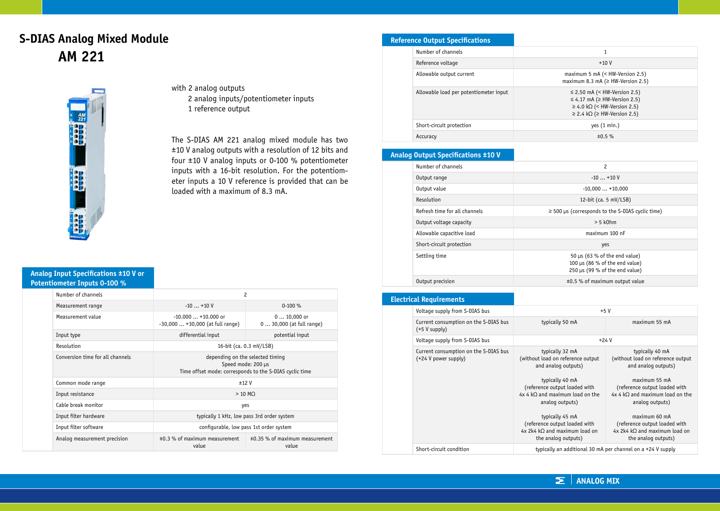# **S-DIAS Analog Mixed Module AM 221**



with 2 analog outputs 2 analog inputs/potentiometer inputs 1 reference output

The S-DIAS AM 221 analog mixed module has two ±10 V analog outputs with a resolution of 12 bits and four ±10 V analog inputs or 0-100 % potentiometer inputs with a 16-bit resolution. For the potentiometer inputs a 10 V reference is provided that can be loaded with a maximum of 8.3 mA.

#### **Analog Input Specifications ±10 V or Potentiometer Inputs 0-100 %**

| Number of channels               | $\overline{c}$                                                                                                    |                                              |
|----------------------------------|-------------------------------------------------------------------------------------------------------------------|----------------------------------------------|
| Measurement range                | $-10+10V$                                                                                                         | $0-100 \%$                                   |
| Measurement value                | $-10.000+10.000$ or<br>$-30,000+30,000$ (at full range)                                                           | $010,000$ or<br>0  30,000 (at full range)    |
| Input type                       | differential input                                                                                                | potential input                              |
| Resolution                       | 16-bit (ca. 0.3 mV/LSB)                                                                                           |                                              |
| Conversion time for all channels | depending on the selected timing<br>Speed mode: 200 µs<br>Time offset mode: corresponds to the S-DIAS cyclic time |                                              |
| Common mode range                | ±12V                                                                                                              |                                              |
| Input resistance                 | $>10$ MO                                                                                                          |                                              |
| Cable break monitor              | yes                                                                                                               |                                              |
| Input filter hardware            | typically 1 kHz, low pass 3rd order system                                                                        |                                              |
| Input filter software            | configurable, low pass 1st order system                                                                           |                                              |
| Analog measurement precision     | ±0.3 % of maximum measurement<br>value                                                                            | $\pm 0.35$ % of maximum measurement<br>value |

## **Reference Output Specifications**

| Number of channels                     |                                                                                                                                                                            |
|----------------------------------------|----------------------------------------------------------------------------------------------------------------------------------------------------------------------------|
| Reference voltage                      | $+10V$                                                                                                                                                                     |
| Allowable output current               | maximum 5 mA $(<$ HW-Version 2.5)<br>maximum 8.3 mA ( $\geq$ HW-Version 2.5)                                                                                               |
| Allowable load per potentiometer input | $\leq$ 2.50 mA (< HW-Version 2.5)<br>$\leq$ 4.17 mA ( $\geq$ HW-Version 2.5)<br>$\geq$ 4.0 k $\Omega$ (< HW-Version 2.5)<br>$\geq$ 2.4 k $\Omega$ ( $\geq$ HW-Version 2.5) |
| Short-circuit protection               | yes $(1 min.)$                                                                                                                                                             |
| Accuracy                               | ±0.5%                                                                                                                                                                      |

### **Analog Output Specifications ±10 V**

| Number of channels            | 2                                                                                                           |
|-------------------------------|-------------------------------------------------------------------------------------------------------------|
| Output range                  | $-10$ $+10$ V                                                                                               |
| Output value                  | $-10.000+10.000$                                                                                            |
| Resolution                    | 12-bit (ca. $5 \text{ mV/LSB}$ )                                                                            |
| Refresh time for all channels | $\ge$ 500 µs (corresponds to the S-DIAS cyclic time)                                                        |
| Output voltage capacity       | $> 5$ k $0$ hm                                                                                              |
| Allowable capacitive load     | maximum 100 nF                                                                                              |
| Short-circuit protection      | yes                                                                                                         |
| Settling time                 | 50 $\mu$ s (63 % of the end value)<br>100 $\mu$ s (86 % of the end value)<br>250 µs (99 % of the end value) |
| Output precision              | ±0.5 % of maximum output value                                                                              |

### **Electrical Requirements**

| Voltage supply from S-DIAS bus                                | $+5V$                                                                                                                                                                                                                                                                                                         |                                                                                                                                                                                                                                                                                                 |
|---------------------------------------------------------------|---------------------------------------------------------------------------------------------------------------------------------------------------------------------------------------------------------------------------------------------------------------------------------------------------------------|-------------------------------------------------------------------------------------------------------------------------------------------------------------------------------------------------------------------------------------------------------------------------------------------------|
| Current consumption on the S-DIAS bus<br>$(+5 V supply)$      | typically 50 mA                                                                                                                                                                                                                                                                                               | maximum 55 mA                                                                                                                                                                                                                                                                                   |
| Voltage supply from S-DIAS bus                                | $+24V$                                                                                                                                                                                                                                                                                                        |                                                                                                                                                                                                                                                                                                 |
| Current consumption on the S-DIAS bus<br>(+24 V power supply) | typically 32 mA<br>(without load on reference output<br>and analog outputs)<br>typically 40 mA<br>(reference output loaded with<br>$4x 4 kQ$ and maximum load on the<br>analog outputs)<br>typically 45 mA<br>(reference output loaded with<br>$4x$ 2k4 k $\Omega$ and maximum load on<br>the analog outputs) | typically 40 mA<br>(without load on reference output<br>and analog outputs)<br>maximum 55 mA<br>(reference output loaded with<br>$4x 4 kQ$ and maximum load on the<br>analog outputs)<br>maximum 60 mA<br>(reference output loaded with<br>4x 2k4 kQ and maximum load on<br>the analog outputs) |
| Short-circuit condition                                       | typically an additional 30 mA per channel on a +24 V supply                                                                                                                                                                                                                                                   |                                                                                                                                                                                                                                                                                                 |